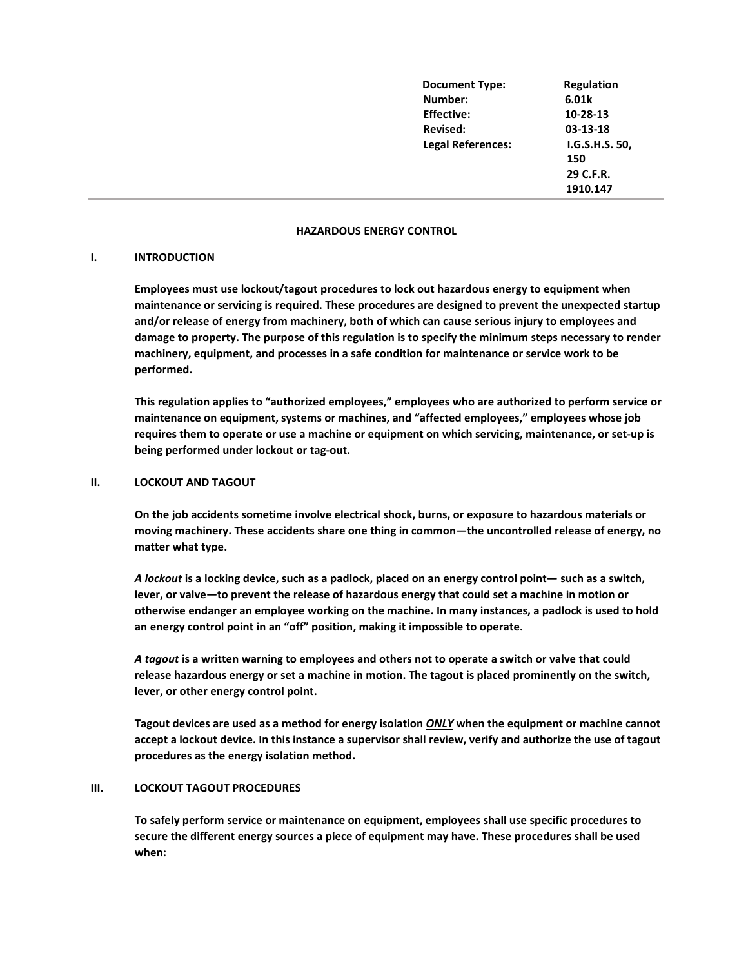| <b>Document Type:</b>    | Regulation     |
|--------------------------|----------------|
| Number:                  | 6.01k          |
| <b>Effective:</b>        | 10-28-13       |
| <b>Revised:</b>          | 03-13-18       |
| <b>Legal References:</b> | I.G.S.H.S. 50, |
|                          | 150            |
|                          | 29 C.F.R.      |
|                          | 1910.147       |

### **HAZARDOUS ENERGY CONTROL**

## **I. INTRODUCTION**

**Employees must use lockout/tagout procedures to lock out hazardous energy to equipment when maintenance or servicing is required. These procedures are designed to prevent the unexpected startup and/or release of energy from machinery, both of which can cause serious injury to employees and damage to property. The purpose of this regulation is to specify the minimum steps necessary to render machinery, equipment, and processes in a safe condition for maintenance or service work to be performed.** 

**This regulation applies to "authorized employees," employees who are authorized to perform service or maintenance on equipment, systems or machines, and "affected employees," employees whose job requires them to operate or use a machine or equipment on which servicing, maintenance, or set-up is being performed under lockout or tag-out.**

### **II. LOCKOUT AND TAGOUT**

**On the job accidents sometime involve electrical shock, burns, or exposure to hazardous materials or moving machinery. These accidents share one thing in common—the uncontrolled release of energy, no matter what type.**

*A lockout* **is a locking device, such as a padlock, placed on an energy control point— such as a switch, lever, or valve—to prevent the release of hazardous energy that could set a machine in motion or otherwise endanger an employee working on the machine. In many instances, a padlock is used to hold an energy control point in an "off" position, making it impossible to operate.**

*A tagout* **is a written warning to employees and others not to operate a switch or valve that could release hazardous energy or set a machine in motion. The tagout is placed prominently on the switch, lever, or other energy control point.** 

**Tagout devices are used as a method for energy isolation** *ONLY* **when the equipment or machine cannot accept a lockout device. In this instance a supervisor shall review, verify and authorize the use of tagout procedures as the energy isolation method.** 

#### **III. LOCKOUT TAGOUT PROCEDURES**

**To safely perform service or maintenance on equipment, employees shall use specific procedures to secure the different energy sources a piece of equipment may have. These procedures shall be used when:**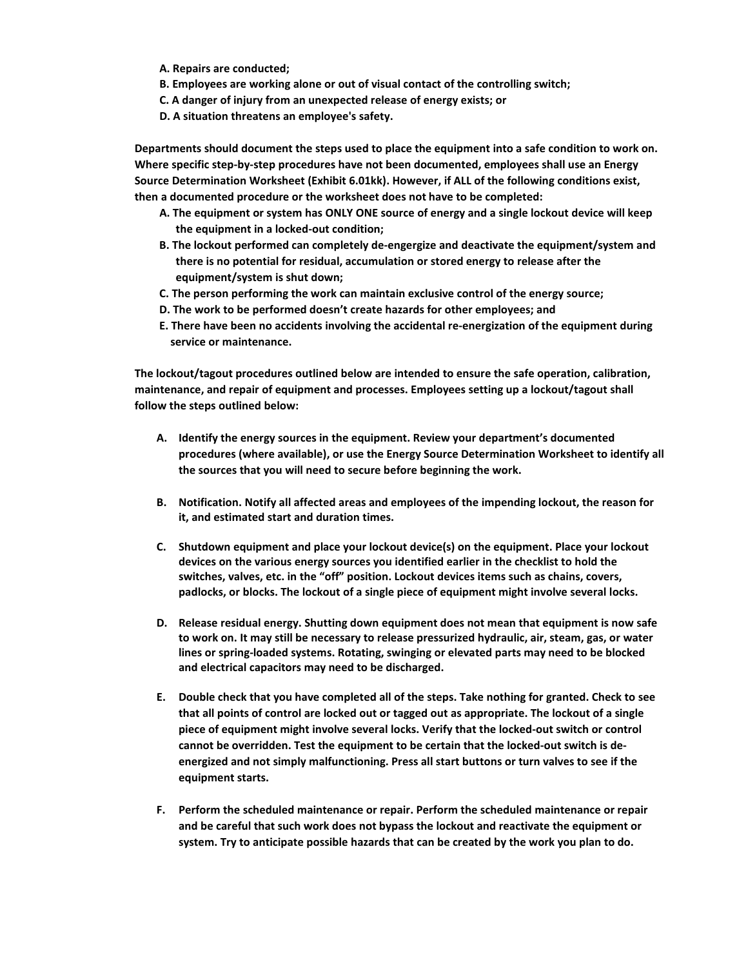- **A. Repairs are conducted;**
- **B. Employees are working alone or out of visual contact of the controlling switch;**
- **C. A danger of injury from an unexpected release of energy exists; or**
- **D. A situation threatens an employee's safety.**

**Departments should document the steps used to place the equipment into a safe condition to work on. Where specific step-by-step procedures have not been documented, employees shall use an Energy Source Determination Worksheet (Exhibit 6.01kk). However, if ALL of the following conditions exist, then a documented procedure or the worksheet does not have to be completed:**

- **A. The equipment or system has ONLY ONE source of energy and a single lockout device will keep the equipment in a locked-out condition;**
- **B. The lockout performed can completely de-engergize and deactivate the equipment/system and there is no potential for residual, accumulation or stored energy to release after the equipment/system is shut down;**
- **C. The person performing the work can maintain exclusive control of the energy source;**
- **D. The work to be performed doesn't create hazards for other employees; and**
- **E. There have been no accidents involving the accidental re-energization of the equipment during service or maintenance.**

**The lockout/tagout procedures outlined below are intended to ensure the safe operation, calibration, maintenance, and repair of equipment and processes. Employees setting up a lockout/tagout shall follow the steps outlined below:**

- **A. Identify the energy sources in the equipment. Review your department's documented procedures (where available), or use the Energy Source Determination Worksheet to identify all the sources that you will need to secure before beginning the work.**
- **B. Notification. Notify all affected areas and employees of the impending lockout, the reason for it, and estimated start and duration times.**
- **C. Shutdown equipment and place your lockout device(s) on the equipment. Place your lockout devices on the various energy sources you identified earlier in the checklist to hold the switches, valves, etc. in the "off" position. Lockout devices items such as chains, covers, padlocks, or blocks. The lockout of a single piece of equipment might involve several locks.**
- **D. Release residual energy. Shutting down equipment does not mean that equipment is now safe to work on. It may still be necessary to release pressurized hydraulic, air, steam, gas, or water lines or spring-loaded systems. Rotating, swinging or elevated parts may need to be blocked and electrical capacitors may need to be discharged.**
- **E. Double check that you have completed all of the steps. Take nothing for granted. Check to see that all points of control are locked out or tagged out as appropriate. The lockout of a single piece of equipment might involve several locks. Verify that the locked-out switch or control cannot be overridden. Test the equipment to be certain that the locked-out switch is deenergized and not simply malfunctioning. Press all start buttons or turn valves to see if the equipment starts.**
- **F. Perform the scheduled maintenance or repair. Perform the scheduled maintenance or repair and be careful that such work does not bypass the lockout and reactivate the equipment or system. Try to anticipate possible hazards that can be created by the work you plan to do.**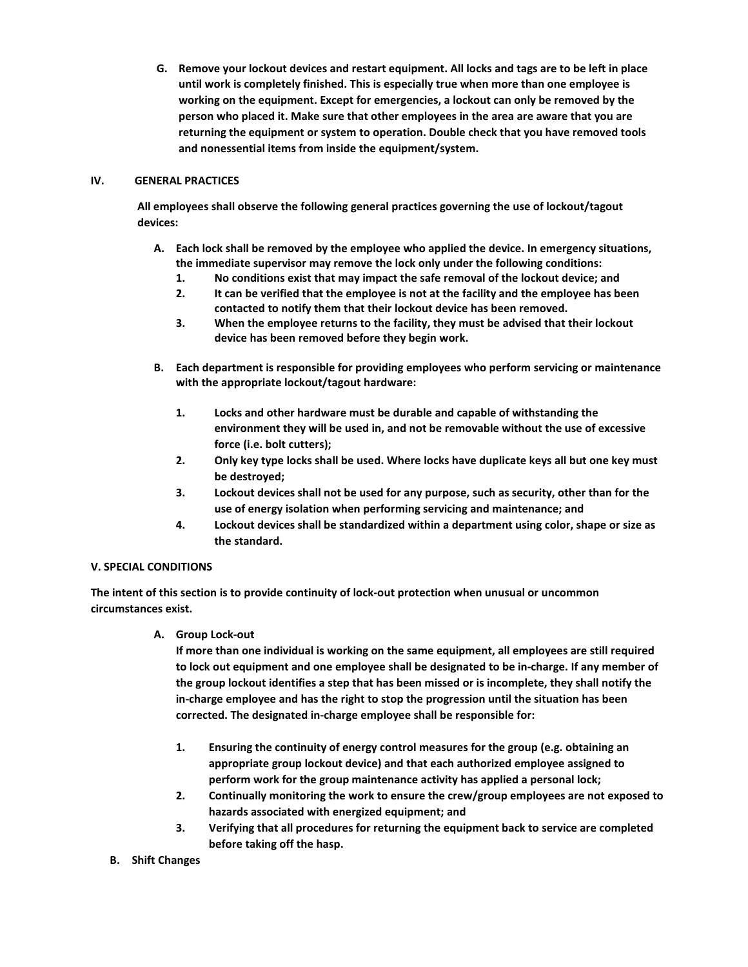**G. Remove your lockout devices and restart equipment. All locks and tags are to be left in place until work is completely finished. This is especially true when more than one employee is working on the equipment. Except for emergencies, a lockout can only be removed by the person who placed it. Make sure that other employees in the area are aware that you are returning the equipment or system to operation. Double check that you have removed tools and nonessential items from inside the equipment/system.** 

# **IV. GENERAL PRACTICES**

**All employees shall observe the following general practices governing the use of lockout/tagout devices:**

- **A. Each lock shall be removed by the employee who applied the device. In emergency situations, the immediate supervisor may remove the lock only under the following conditions:**
	- **1. No conditions exist that may impact the safe removal of the lockout device; and**
	- **2. It can be verified that the employee is not at the facility and the employee has been contacted to notify them that their lockout device has been removed.**
	- **3. When the employee returns to the facility, they must be advised that their lockout device has been removed before they begin work.**
- **B. Each department is responsible for providing employees who perform servicing or maintenance with the appropriate lockout/tagout hardware:**
	- **1. Locks and other hardware must be durable and capable of withstanding the environment they will be used in, and not be removable without the use of excessive force (i.e. bolt cutters);**
	- **2. Only key type locks shall be used. Where locks have duplicate keys all but one key must be destroyed;**
	- **3. Lockout devices shall not be used for any purpose, such as security, other than for the use of energy isolation when performing servicing and maintenance; and**
	- **4. Lockout devices shall be standardized within a department using color, shape or size as the standard.**

# **V. SPECIAL CONDITIONS**

**The intent of this section is to provide continuity of lock-out protection when unusual or uncommon circumstances exist.**

**A. Group Lock-out** 

**If more than one individual is working on the same equipment, all employees are still required to lock out equipment and one employee shall be designated to be in-charge. If any member of the group lockout identifies a step that has been missed or is incomplete, they shall notify the in-charge employee and has the right to stop the progression until the situation has been corrected. The designated in-charge employee shall be responsible for:** 

- **1. Ensuring the continuity of energy control measures for the group (e.g. obtaining an appropriate group lockout device) and that each authorized employee assigned to perform work for the group maintenance activity has applied a personal lock;**
- **2. Continually monitoring the work to ensure the crew/group employees are not exposed to hazards associated with energized equipment; and**
- **3. Verifying that all procedures for returning the equipment back to service are completed before taking off the hasp.**
- **B. Shift Changes**